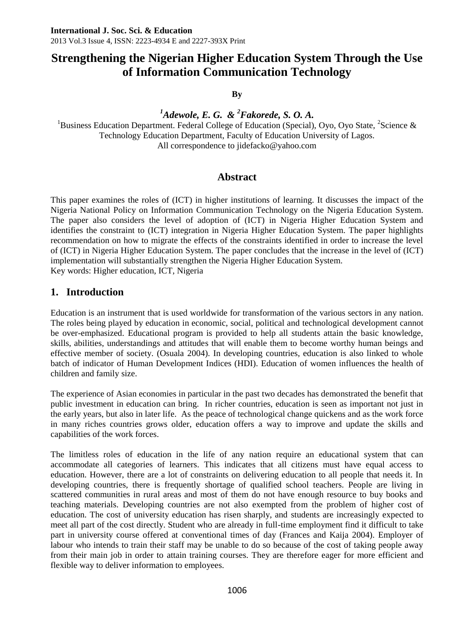**By**

*<sup>1</sup>Adewole, E. G. & <sup>2</sup>Fakorede, S. O. A.* 

<sup>1</sup>Business Education Department. Federal College of Education (Special), Oyo, Oyo State, <sup>2</sup>Science & Technology Education Department, Faculty of Education University of Lagos. All correspondence to jidefacko@yahoo.com

# **Abstract**

This paper examines the roles of (ICT) in higher institutions of learning. It discusses the impact of the Nigeria National Policy on Information Communication Technology on the Nigeria Education System. The paper also considers the level of adoption of (ICT) in Nigeria Higher Education System and identifies the constraint to (ICT) integration in Nigeria Higher Education System. The paper highlights recommendation on how to migrate the effects of the constraints identified in order to increase the level of (ICT) in Nigeria Higher Education System. The paper concludes that the increase in the level of (ICT) implementation will substantially strengthen the Nigeria Higher Education System. Key words: Higher education, ICT, Nigeria

# **1. Introduction**

Education is an instrument that is used worldwide for transformation of the various sectors in any nation. The roles being played by education in economic, social, political and technological development cannot be over-emphasized. Educational program is provided to help all students attain the basic knowledge, skills, abilities, understandings and attitudes that will enable them to become worthy human beings and effective member of society. (Osuala 2004). In developing countries, education is also linked to whole batch of indicator of Human Development Indices (HDI). Education of women influences the health of children and family size.

The experience of Asian economies in particular in the past two decades has demonstrated the benefit that public investment in education can bring. In richer countries, education is seen as important not just in the early years, but also in later life. As the peace of technological change quickens and as the work force in many riches countries grows older, education offers a way to improve and update the skills and capabilities of the work forces.

The limitless roles of education in the life of any nation require an educational system that can accommodate all categories of learners. This indicates that all citizens must have equal access to education. However, there are a lot of constraints on delivering education to all people that needs it. In developing countries, there is frequently shortage of qualified school teachers. People are living in scattered communities in rural areas and most of them do not have enough resource to buy books and teaching materials. Developing countries are not also exempted from the problem of higher cost of education. The cost of university education has risen sharply, and students are increasingly expected to meet all part of the cost directly. Student who are already in full-time employment find it difficult to take part in university course offered at conventional times of day (Frances and Kaija 2004). Employer of labour who intends to train their staff may be unable to do so because of the cost of taking people away from their main job in order to attain training courses. They are therefore eager for more efficient and flexible way to deliver information to employees.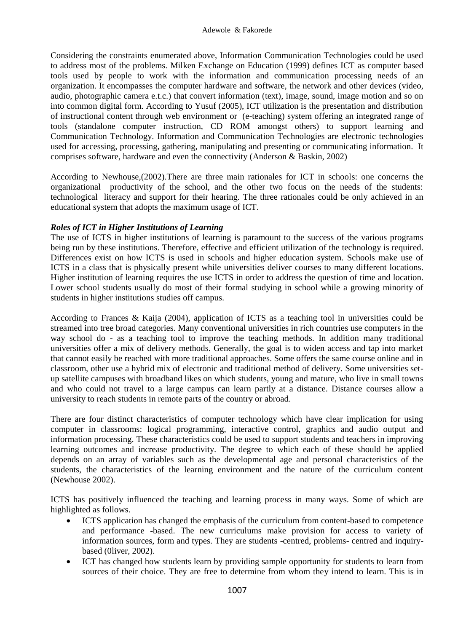Considering the constraints enumerated above, Information Communication Technologies could be used to address most of the problems. Milken Exchange on Education (1999) defines ICT as computer based tools used by people to work with the information and communication processing needs of an organization. It encompasses the computer hardware and software, the network and other devices (video, audio, photographic camera e.t.c.) that convert information (text), image, sound, image motion and so on into common digital form. According to Yusuf (2005), ICT utilization is the presentation and distribution of instructional content through web environment or (e-teaching) system offering an integrated range of tools (standalone computer instruction, CD ROM amongst others) to support learning and Communication Technology. Information and Communication Technologies are electronic technologies used for accessing, processing, gathering, manipulating and presenting or communicating information. It comprises software, hardware and even the connectivity (Anderson & Baskin, 2002)

According to Newhouse,(2002).There are three main rationales for ICT in schools: one concerns the organizational productivity of the school, and the other two focus on the needs of the students: technological literacy and support for their hearing. The three rationales could be only achieved in an educational system that adopts the maximum usage of ICT.

### *Roles of ICT in Higher Institutions of Learning*

The use of ICTS in higher institutions of learning is paramount to the success of the various programs being run by these institutions. Therefore, effective and efficient utilization of the technology is required. Differences exist on how ICTS is used in schools and higher education system. Schools make use of ICTS in a class that is physically present while universities deliver courses to many different locations. Higher institution of learning requires the use ICTS in order to address the question of time and location. Lower school students usually do most of their formal studying in school while a growing minority of students in higher institutions studies off campus.

According to Frances & Kaija (2004), application of ICTS as a teaching tool in universities could be streamed into tree broad categories. Many conventional universities in rich countries use computers in the way school do - as a teaching tool to improve the teaching methods. In addition many traditional universities offer a mix of delivery methods. Generally, the goal is to widen access and tap into market that cannot easily be reached with more traditional approaches. Some offers the same course online and in classroom, other use a hybrid mix of electronic and traditional method of delivery. Some universities setup satellite campuses with broadband likes on which students, young and mature, who live in small towns and who could not travel to a large campus can learn partly at a distance. Distance courses allow a university to reach students in remote parts of the country or abroad.

There are four distinct characteristics of computer technology which have clear implication for using computer in classrooms: logical programming, interactive control, graphics and audio output and information processing. These characteristics could be used to support students and teachers in improving learning outcomes and increase productivity. The degree to which each of these should be applied depends on an array of variables such as the developmental age and personal characteristics of the students, the characteristics of the learning environment and the nature of the curriculum content (Newhouse 2002).

ICTS has positively influenced the teaching and learning process in many ways. Some of which are highlighted as follows.

- ICTS application has changed the emphasis of the curriculum from content-based to competence and performance -based. The new curriculums make provision for access to variety of information sources, form and types. They are students -centred, problems- centred and inquirybased (0liver, 2002).
- ICT has changed how students learn by providing sample opportunity for students to learn from sources of their choice. They are free to determine from whom they intend to learn. This is in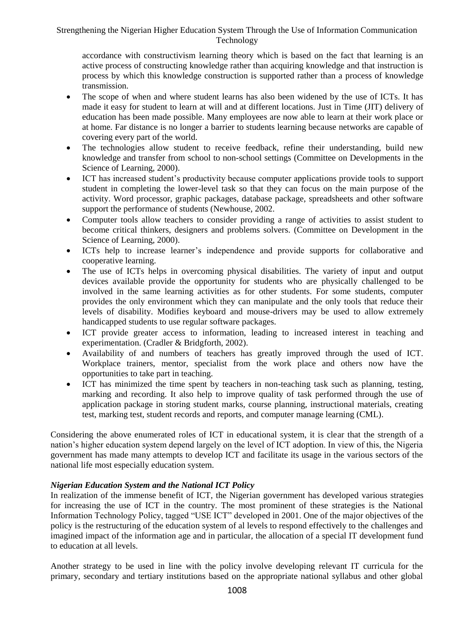accordance with constructivism learning theory which is based on the fact that learning is an active process of constructing knowledge rather than acquiring knowledge and that instruction is process by which this knowledge construction is supported rather than a process of knowledge transmission.

- The scope of when and where student learns has also been widened by the use of ICTs. It has made it easy for student to learn at will and at different locations. Just in Time (JIT) delivery of education has been made possible. Many employees are now able to learn at their work place or at home. Far distance is no longer a barrier to students learning because networks are capable of covering every part of the world.
- The technologies allow student to receive feedback, refine their understanding, build new knowledge and transfer from school to non-school settings (Committee on Developments in the Science of Learning, 2000).
- ICT has increased student's productivity because computer applications provide tools to support student in completing the lower-level task so that they can focus on the main purpose of the activity. Word processor, graphic packages, database package, spreadsheets and other software support the performance of students (Newhouse, 2002.
- Computer tools allow teachers to consider providing a range of activities to assist student to become critical thinkers, designers and problems solvers. (Committee on Development in the Science of Learning, 2000).
- ICTs help to increase learner's independence and provide supports for collaborative and cooperative learning.
- The use of ICTs helps in overcoming physical disabilities. The variety of input and output devices available provide the opportunity for students who are physically challenged to be involved in the same learning activities as for other students. For some students, computer provides the only environment which they can manipulate and the only tools that reduce their levels of disability. Modifies keyboard and mouse-drivers may be used to allow extremely handicapped students to use regular software packages.
- ICT provide greater access to information, leading to increased interest in teaching and experimentation. (Cradler & Bridgforth, 2002).
- Availability of and numbers of teachers has greatly improved through the used of ICT. Workplace trainers, mentor, specialist from the work place and others now have the opportunities to take part in teaching.
- ICT has minimized the time spent by teachers in non-teaching task such as planning, testing, marking and recording. It also help to improve quality of task performed through the use of application package in storing student marks, course planning, instructional materials, creating test, marking test, student records and reports, and computer manage learning (CML).

Considering the above enumerated roles of ICT in educational system, it is clear that the strength of a nation's higher education system depend largely on the level of ICT adoption. In view of this, the Nigeria government has made many attempts to develop ICT and facilitate its usage in the various sectors of the national life most especially education system.

### *Nigerian Education System and the National ICT Policy*

In realization of the immense benefit of ICT, the Nigerian government has developed various strategies for increasing the use of ICT in the country. The most prominent of these strategies is the National Information Technology Policy, tagged "USE ICT" developed in 2001. One of the major objectives of the policy is the restructuring of the education system of al levels to respond effectively to the challenges and imagined impact of the information age and in particular, the allocation of a special IT development fund to education at all levels.

Another strategy to be used in line with the policy involve developing relevant IT curricula for the primary, secondary and tertiary institutions based on the appropriate national syllabus and other global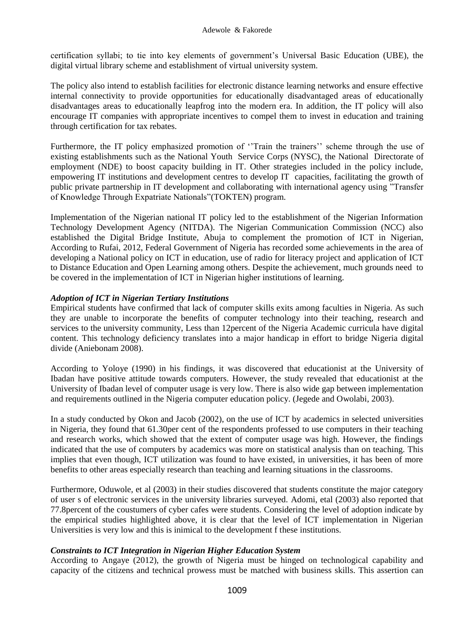certification syllabi; to tie into key elements of government's Universal Basic Education (UBE), the digital virtual library scheme and establishment of virtual university system.

The policy also intend to establish facilities for electronic distance learning networks and ensure effective internal connectivity to provide opportunities for educationally disadvantaged areas of educationally disadvantages areas to educationally leapfrog into the modern era. In addition, the IT policy will also encourage IT companies with appropriate incentives to compel them to invest in education and training through certification for tax rebates.

Furthermore, the IT policy emphasized promotion of "Train the trainers" scheme through the use of existing establishments such as the National Youth Service Corps (NYSC), the National Directorate of employment (NDE) to boost capacity building in IT. Other strategies included in the policy include, empowering IT institutions and development centres to develop IT capacities, facilitating the growth of public private partnership in IT development and collaborating with international agency using "Transfer of Knowledge Through Expatriate Nationals"(TOKTEN) program.

Implementation of the Nigerian national IT policy led to the establishment of the Nigerian Information Technology Development Agency (NITDA). The Nigerian Communication Commission (NCC) also established the Digital Bridge Institute, Abuja to complement the promotion of ICT in Nigerian, According to Rufai, 2012, Federal Government of Nigeria has recorded some achievements in the area of developing a National policy on ICT in education, use of radio for literacy project and application of ICT to Distance Education and Open Learning among others. Despite the achievement, much grounds need to be covered in the implementation of ICT in Nigerian higher institutions of learning.

### *Adoption of ICT in Nigerian Tertiary Institutions*

Empirical students have confirmed that lack of computer skills exits among faculties in Nigeria. As such they are unable to incorporate the benefits of computer technology into their teaching, research and services to the university community, Less than 12percent of the Nigeria Academic curricula have digital content. This technology deficiency translates into a major handicap in effort to bridge Nigeria digital divide (Aniebonam 2008).

According to Yoloye (1990) in his findings, it was discovered that educationist at the University of Ibadan have positive attitude towards computers. However, the study revealed that educationist at the University of Ibadan level of computer usage is very low. There is also wide gap between implementation and requirements outlined in the Nigeria computer education policy. (Jegede and Owolabi, 2003).

In a study conducted by Okon and Jacob (2002), on the use of ICT by academics in selected universities in Nigeria, they found that 61.30per cent of the respondents professed to use computers in their teaching and research works, which showed that the extent of computer usage was high. However, the findings indicated that the use of computers by academics was more on statistical analysis than on teaching. This implies that even though, ICT utilization was found to have existed, in universities, it has been of more benefits to other areas especially research than teaching and learning situations in the classrooms.

Furthermore, Oduwole, et al (2003) in their studies discovered that students constitute the major category of user s of electronic services in the university libraries surveyed. Adomi, etal (2003) also reported that 77.8percent of the coustumers of cyber cafes were students. Considering the level of adoption indicate by the empirical studies highlighted above, it is clear that the level of ICT implementation in Nigerian Universities is very low and this is inimical to the development f these institutions.

#### *Constraints to ICT Integration in Nigerian Higher Education System*

According to Angaye (2012), the growth of Nigeria must be hinged on technological capability and capacity of the citizens and technical prowess must be matched with business skills. This assertion can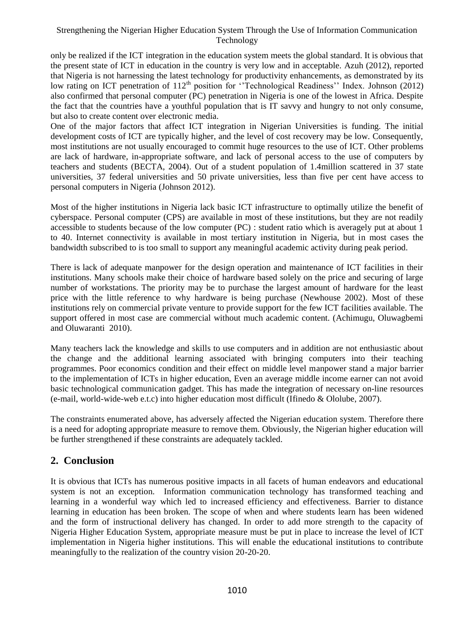only be realized if the ICT integration in the education system meets the global standard. It is obvious that the present state of ICT in education in the country is very low and in acceptable. Azuh (2012), reported that Nigeria is not harnessing the latest technology for productivity enhancements, as demonstrated by its low rating on ICT penetration of  $112<sup>th</sup>$  position for "Technological Readiness" Index. Johnson (2012) also confirmed that personal computer (PC) penetration in Nigeria is one of the lowest in Africa. Despite the fact that the countries have a youthful population that is IT savvy and hungry to not only consume, but also to create content over electronic media.

One of the major factors that affect ICT integration in Nigerian Universities is funding. The initial development costs of ICT are typically higher, and the level of cost recovery may be low. Consequently, most institutions are not usually encouraged to commit huge resources to the use of ICT. Other problems are lack of hardware, in-appropriate software, and lack of personal access to the use of computers by teachers and students (BECTA, 2004). Out of a student population of 1.4million scattered in 37 state universities, 37 federal universities and 50 private universities, less than five per cent have access to personal computers in Nigeria (Johnson 2012).

Most of the higher institutions in Nigeria lack basic ICT infrastructure to optimally utilize the benefit of cyberspace. Personal computer (CPS) are available in most of these institutions, but they are not readily accessible to students because of the low computer (PC) : student ratio which is averagely put at about 1 to 40. Internet connectivity is available in most tertiary institution in Nigeria, but in most cases the bandwidth subscribed to is too small to support any meaningful academic activity during peak period.

There is lack of adequate manpower for the design operation and maintenance of ICT facilities in their institutions. Many schools make their choice of hardware based solely on the price and securing of large number of workstations. The priority may be to purchase the largest amount of hardware for the least price with the little reference to why hardware is being purchase (Newhouse 2002). Most of these institutions rely on commercial private venture to provide support for the few ICT facilities available. The support offered in most case are commercial without much academic content. (Achimugu, Oluwagbemi and Oluwaranti 2010).

Many teachers lack the knowledge and skills to use computers and in addition are not enthusiastic about the change and the additional learning associated with bringing computers into their teaching programmes. Poor economics condition and their effect on middle level manpower stand a major barrier to the implementation of ICTs in higher education, Even an average middle income earner can not avoid basic technological communication gadget. This has made the integration of necessary on-line resources (e-mail, world-wide-web e.t.c) into higher education most difficult (Ifinedo & Ololube, 2007).

The constraints enumerated above, has adversely affected the Nigerian education system. Therefore there is a need for adopting appropriate measure to remove them. Obviously, the Nigerian higher education will be further strengthened if these constraints are adequately tackled.

# **2. Conclusion**

It is obvious that ICTs has numerous positive impacts in all facets of human endeavors and educational system is not an exception. Information communication technology has transformed teaching and learning in a wonderful way which led to increased efficiency and effectiveness. Barrier to distance learning in education has been broken. The scope of when and where students learn has been widened and the form of instructional delivery has changed. In order to add more strength to the capacity of Nigeria Higher Education System, appropriate measure must be put in place to increase the level of ICT implementation in Nigeria higher institutions. This will enable the educational institutions to contribute meaningfully to the realization of the country vision 20-20-20.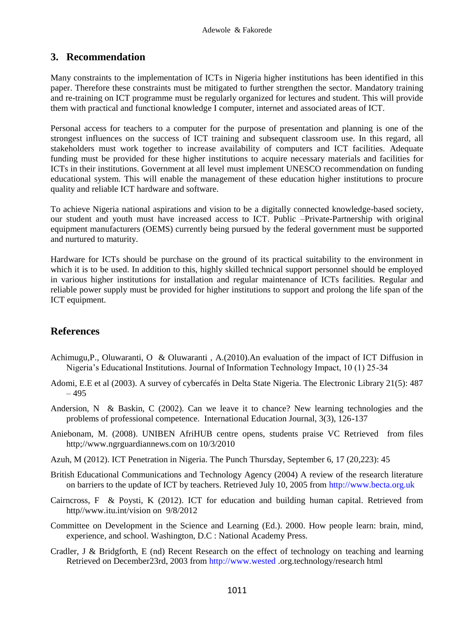## **3. Recommendation**

Many constraints to the implementation of ICTs in Nigeria higher institutions has been identified in this paper. Therefore these constraints must be mitigated to further strengthen the sector. Mandatory training and re-training on ICT programme must be regularly organized for lectures and student. This will provide them with practical and functional knowledge I computer, internet and associated areas of ICT.

Personal access for teachers to a computer for the purpose of presentation and planning is one of the strongest influences on the success of ICT training and subsequent classroom use. In this regard, all stakeholders must work together to increase availability of computers and ICT facilities. Adequate funding must be provided for these higher institutions to acquire necessary materials and facilities for ICTs in their institutions. Government at all level must implement UNESCO recommendation on funding educational system. This will enable the management of these education higher institutions to procure quality and reliable ICT hardware and software.

To achieve Nigeria national aspirations and vision to be a digitally connected knowledge-based society, our student and youth must have increased access to ICT. Public –Private-Partnership with original equipment manufacturers (OEMS) currently being pursued by the federal government must be supported and nurtured to maturity.

Hardware for ICTs should be purchase on the ground of its practical suitability to the environment in which it is to be used. In addition to this, highly skilled technical support personnel should be employed in various higher institutions for installation and regular maintenance of ICTs facilities. Regular and reliable power supply must be provided for higher institutions to support and prolong the life span of the ICT equipment.

# **References**

- Achimugu,P., Oluwaranti, O & Oluwaranti , A.(2010).An evaluation of the impact of ICT Diffusion in Nigeria's Educational Institutions. Journal of Information Technology Impact, 10 (1) 25-34
- Adomi, E.E et al (2003). A survey of cybercafés in Delta State Nigeria. The Electronic Library 21(5): 487 – 495
- Andersion, N & Baskin, C (2002). Can we leave it to chance? New learning technologies and the problems of professional competence. International Education Journal, 3(3), 126-137
- Aniebonam, M. (2008). UNIBEN AfriHUB centre opens, students praise VC Retrieved from files http;//www.ngrguardiannews.com on 10/3/2010
- Azuh, M (2012). ICT Penetration in Nigeria. The Punch Thursday, September 6, 17 (20,223): 45
- British Educational Communications and Technology Agency (2004) A review of the research literature on barriers to the update of ICT by teachers. Retrieved July 10, 2005 from [http://www.becta.org.uk](http://www.becta.org.uk/)
- Cairncross, F & Poysti, K (2012). ICT for education and building human capital. Retrieved from http//www.itu.int/vision on 9/8/2012
- Committee on Development in the Science and Learning (Ed.). 2000. How people learn: brain, mind, experience, and school. Washington, D.C : National Academy Press.
- Cradler, J & Bridgforth, E (nd) Recent Research on the effect of technology on teaching and learning Retrieved on December23rd, 2003 from [http://www.wested](http://www.wested/) .org.technology/research html